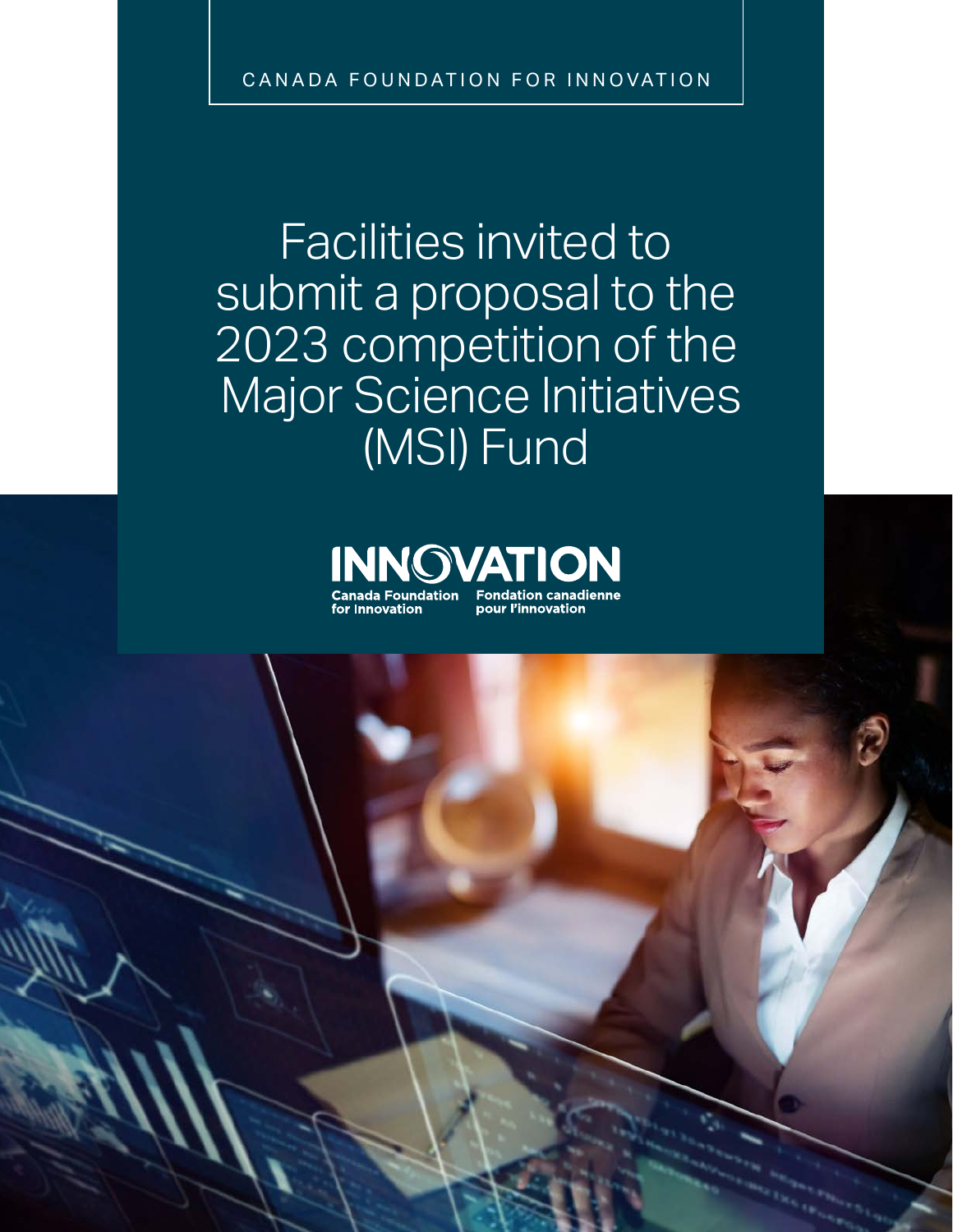CANADA FOUNDATION FOR INNOVATION

Facilities invited to submit a proposal to the 2023 competition of the Major Science Initiatives (MSI) Fund

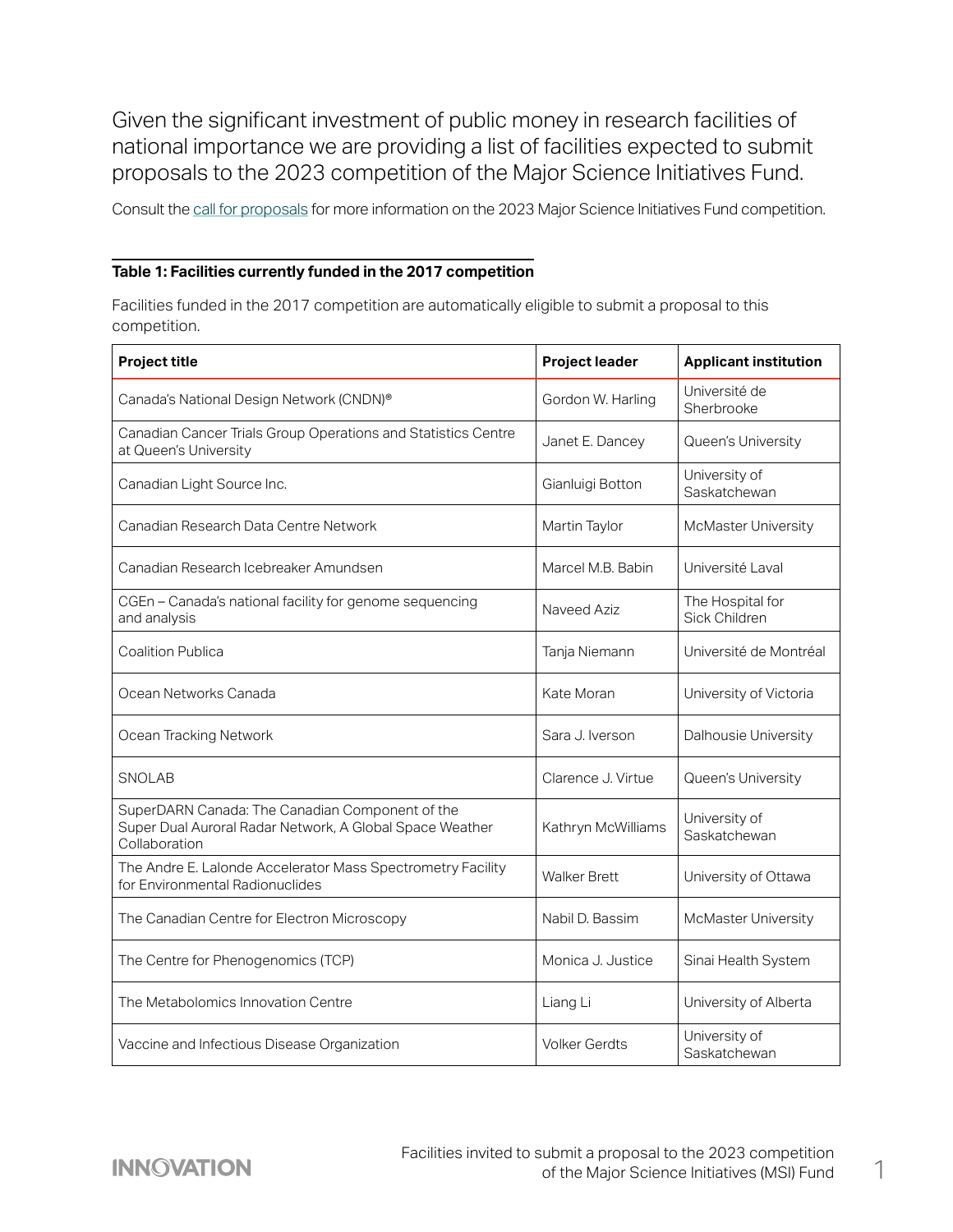Given the significant investment of public money in research facilities of national importance we are providing a list of facilities expected to submit proposals to the 2023 competition of the Major Science Initiatives Fund.

Consult the [call for proposals](https://www.innovation.ca/apply-manage-awards/funding-opportunities/major-science-initiatives-fund) for more information on the 2023 Major Science Initiatives Fund competition.

## **Table 1: Facilities currently funded in the 2017 competition**

Facilities funded in the 2017 competition are automatically eligible to submit a proposal to this competition.

| Project title                                                                                                                | <b>Project leader</b> | <b>Applicant institution</b>      |
|------------------------------------------------------------------------------------------------------------------------------|-----------------------|-----------------------------------|
| Canada's National Design Network (CNDN)®                                                                                     | Gordon W. Harling     | Université de<br>Sherbrooke       |
| Canadian Cancer Trials Group Operations and Statistics Centre<br>at Queen's University                                       | Janet E. Dancey       | Queen's University                |
| Canadian Light Source Inc.                                                                                                   | Gianluigi Botton      | University of<br>Saskatchewan     |
| Canadian Research Data Centre Network                                                                                        | Martin Taylor         | McMaster University               |
| Canadian Research Icebreaker Amundsen                                                                                        | Marcel M.B. Babin     | Université Laval                  |
| CGEn - Canada's national facility for genome sequencing<br>and analysis                                                      | Naveed Aziz           | The Hospital for<br>Sick Children |
| <b>Coalition Publica</b>                                                                                                     | Tanja Niemann         | Université de Montréal            |
| Ocean Networks Canada                                                                                                        | Kate Moran            | University of Victoria            |
| Ocean Tracking Network                                                                                                       | Sara J. Iverson       | Dalhousie University              |
| <b>SNOLAB</b>                                                                                                                | Clarence J. Virtue    | Queen's University                |
| SuperDARN Canada: The Canadian Component of the<br>Super Dual Auroral Radar Network, A Global Space Weather<br>Collaboration | Kathryn McWilliams    | University of<br>Saskatchewan     |
| The Andre E. Lalonde Accelerator Mass Spectrometry Facility<br>for Environmental Radionuclides                               | <b>Walker Brett</b>   | University of Ottawa              |
| The Canadian Centre for Electron Microscopy                                                                                  | Nabil D. Bassim       | McMaster University               |
| The Centre for Phenogenomics (TCP)                                                                                           | Monica J. Justice     | Sinai Health System               |
| The Metabolomics Innovation Centre                                                                                           | Liang Li              | University of Alberta             |
| Vaccine and Infectious Disease Organization                                                                                  | <b>Volker Gerdts</b>  | University of<br>Saskatchewan     |